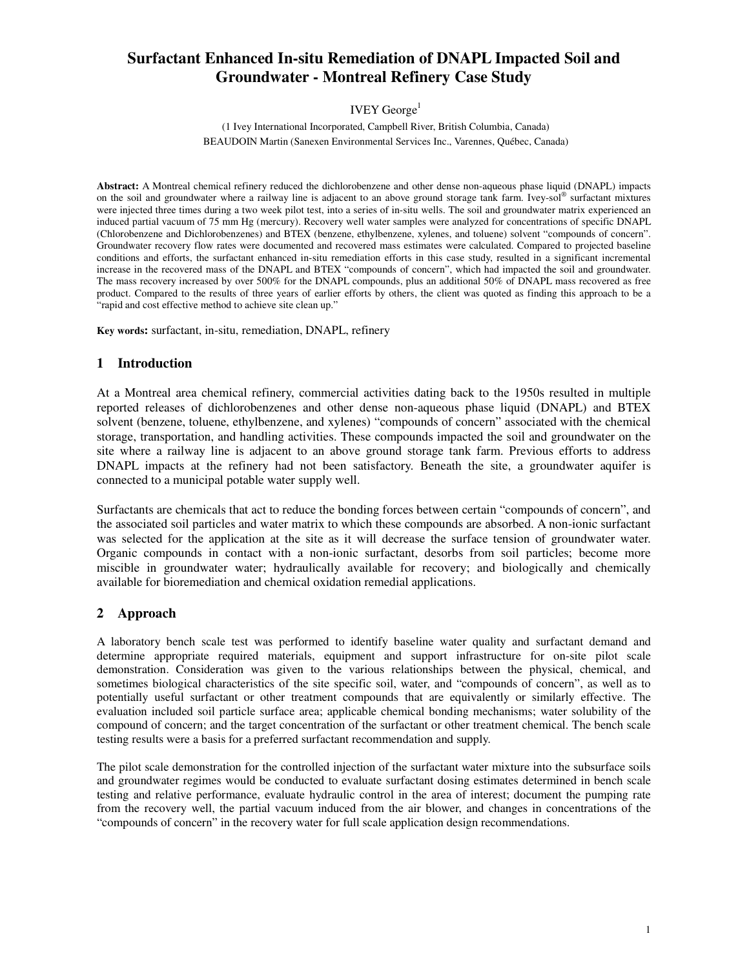# **Surfactant Enhanced In-situ Remediation of DNAPL Impacted Soil and Groundwater - Montreal Refinery Case Study**

## IVEY George<sup>1</sup>

(1 Ivey International Incorporated, Campbell River, British Columbia, Canada) BEAUDOIN Martin (Sanexen Environmental Services Inc., Varennes, Québec, Canada)

**Abstract:** A Montreal chemical refinery reduced the dichlorobenzene and other dense non-aqueous phase liquid (DNAPL) impacts on the soil and groundwater where a railway line is adjacent to an above ground storage tank farm. Ivey-sol<sup>®</sup> surfactant mixtures were injected three times during a two week pilot test, into a series of in-situ wells. The soil and groundwater matrix experienced an induced partial vacuum of 75 mm Hg (mercury). Recovery well water samples were analyzed for concentrations of specific DNAPL (Chlorobenzene and Dichlorobenzenes) and BTEX (benzene, ethylbenzene, xylenes, and toluene) solvent "compounds of concern". Groundwater recovery flow rates were documented and recovered mass estimates were calculated. Compared to projected baseline conditions and efforts, the surfactant enhanced in-situ remediation efforts in this case study, resulted in a significant incremental increase in the recovered mass of the DNAPL and BTEX "compounds of concern", which had impacted the soil and groundwater. The mass recovery increased by over 500% for the DNAPL compounds, plus an additional 50% of DNAPL mass recovered as free product. Compared to the results of three years of earlier efforts by others, the client was quoted as finding this approach to be a "rapid and cost effective method to achieve site clean up."

**Key words:** surfactant, in-situ, remediation, DNAPL, refinery

## **1 Introduction**

At a Montreal area chemical refinery, commercial activities dating back to the 1950s resulted in multiple reported releases of dichlorobenzenes and other dense non-aqueous phase liquid (DNAPL) and BTEX solvent (benzene, toluene, ethylbenzene, and xylenes) "compounds of concern" associated with the chemical storage, transportation, and handling activities. These compounds impacted the soil and groundwater on the site where a railway line is adjacent to an above ground storage tank farm. Previous efforts to address DNAPL impacts at the refinery had not been satisfactory. Beneath the site, a groundwater aquifer is connected to a municipal potable water supply well.

Surfactants are chemicals that act to reduce the bonding forces between certain "compounds of concern", and the associated soil particles and water matrix to which these compounds are absorbed. A non-ionic surfactant was selected for the application at the site as it will decrease the surface tension of groundwater water. Organic compounds in contact with a non-ionic surfactant, desorbs from soil particles; become more miscible in groundwater water; hydraulically available for recovery; and biologically and chemically available for bioremediation and chemical oxidation remedial applications.

## **2 Approach**

A laboratory bench scale test was performed to identify baseline water quality and surfactant demand and determine appropriate required materials, equipment and support infrastructure for on-site pilot scale demonstration. Consideration was given to the various relationships between the physical, chemical, and sometimes biological characteristics of the site specific soil, water, and "compounds of concern", as well as to potentially useful surfactant or other treatment compounds that are equivalently or similarly effective. The evaluation included soil particle surface area; applicable chemical bonding mechanisms; water solubility of the compound of concern; and the target concentration of the surfactant or other treatment chemical. The bench scale testing results were a basis for a preferred surfactant recommendation and supply.

The pilot scale demonstration for the controlled injection of the surfactant water mixture into the subsurface soils and groundwater regimes would be conducted to evaluate surfactant dosing estimates determined in bench scale testing and relative performance, evaluate hydraulic control in the area of interest; document the pumping rate from the recovery well, the partial vacuum induced from the air blower, and changes in concentrations of the "compounds of concern" in the recovery water for full scale application design recommendations.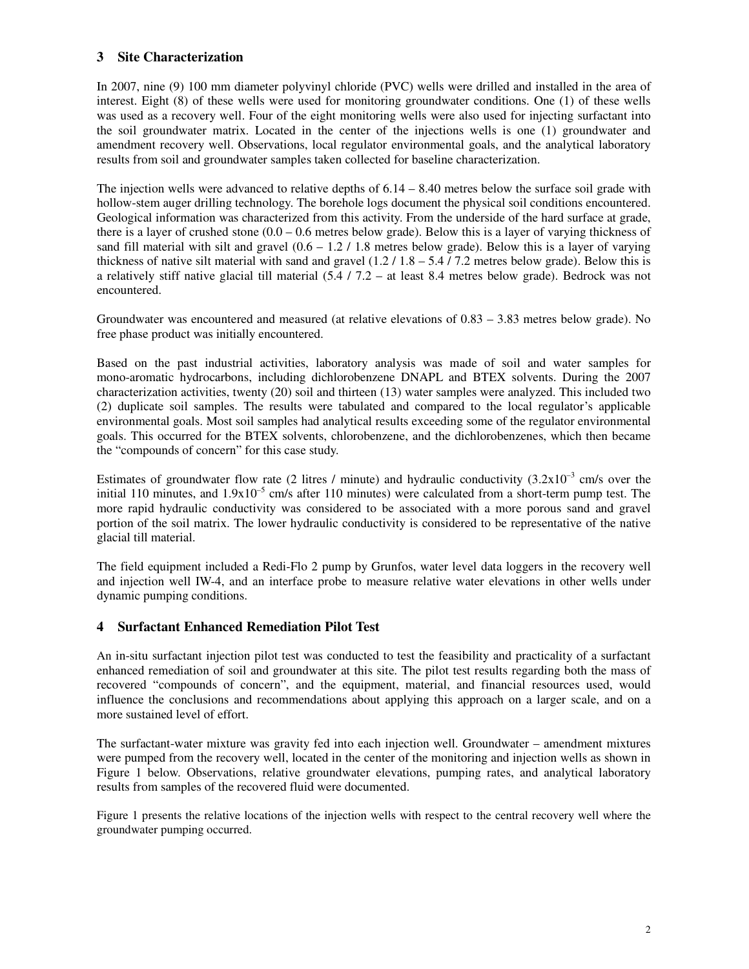## **3 Site Characterization**

In 2007, nine (9) 100 mm diameter polyvinyl chloride (PVC) wells were drilled and installed in the area of interest. Eight (8) of these wells were used for monitoring groundwater conditions. One (1) of these wells was used as a recovery well. Four of the eight monitoring wells were also used for injecting surfactant into the soil groundwater matrix. Located in the center of the injections wells is one (1) groundwater and amendment recovery well. Observations, local regulator environmental goals, and the analytical laboratory results from soil and groundwater samples taken collected for baseline characterization.

The injection wells were advanced to relative depths of 6.14 – 8.40 metres below the surface soil grade with hollow-stem auger drilling technology. The borehole logs document the physical soil conditions encountered. Geological information was characterized from this activity. From the underside of the hard surface at grade, there is a layer of crushed stone  $(0.0 - 0.6$  metres below grade). Below this is a layer of varying thickness of sand fill material with silt and gravel  $(0.6 - 1.2 / 1.8$  metres below grade). Below this is a layer of varying thickness of native silt material with sand and gravel  $(1.2 / 1.8 - 5.4 / 7.2$  metres below grade). Below this is a relatively stiff native glacial till material (5.4 / 7.2 – at least 8.4 metres below grade). Bedrock was not encountered.

Groundwater was encountered and measured (at relative elevations of 0.83 – 3.83 metres below grade). No free phase product was initially encountered.

Based on the past industrial activities, laboratory analysis was made of soil and water samples for mono-aromatic hydrocarbons, including dichlorobenzene DNAPL and BTEX solvents. During the 2007 characterization activities, twenty (20) soil and thirteen (13) water samples were analyzed. This included two (2) duplicate soil samples. The results were tabulated and compared to the local regulator's applicable environmental goals. Most soil samples had analytical results exceeding some of the regulator environmental goals. This occurred for the BTEX solvents, chlorobenzene, and the dichlorobenzenes, which then became the "compounds of concern" for this case study.

Estimates of groundwater flow rate (2 litres / minute) and hydraulic conductivity  $(3.2x10^{-3}$  cm/s over the initial 110 minutes, and  $1.9x10^{-5}$  cm/s after 110 minutes) were calculated from a short-term pump test. The more rapid hydraulic conductivity was considered to be associated with a more porous sand and gravel portion of the soil matrix. The lower hydraulic conductivity is considered to be representative of the native glacial till material.

The field equipment included a Redi-Flo 2 pump by Grunfos, water level data loggers in the recovery well and injection well IW-4, and an interface probe to measure relative water elevations in other wells under dynamic pumping conditions.

## **4 Surfactant Enhanced Remediation Pilot Test**

An in-situ surfactant injection pilot test was conducted to test the feasibility and practicality of a surfactant enhanced remediation of soil and groundwater at this site. The pilot test results regarding both the mass of recovered "compounds of concern", and the equipment, material, and financial resources used, would influence the conclusions and recommendations about applying this approach on a larger scale, and on a more sustained level of effort.

The surfactant-water mixture was gravity fed into each injection well. Groundwater – amendment mixtures were pumped from the recovery well, located in the center of the monitoring and injection wells as shown in Figure 1 below. Observations, relative groundwater elevations, pumping rates, and analytical laboratory results from samples of the recovered fluid were documented.

Figure 1 presents the relative locations of the injection wells with respect to the central recovery well where the groundwater pumping occurred.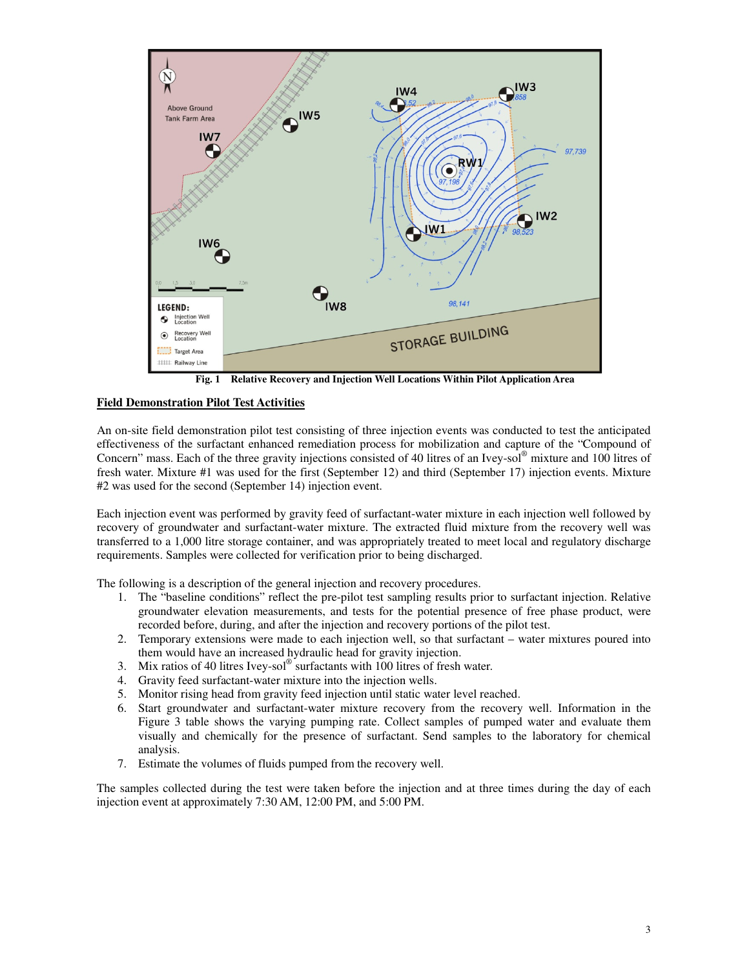

**Fig. 1 Relative Recovery and Injection Well Locations Within Pilot Application Area**

## **Field Demonstration Pilot Test Activities**

An on-site field demonstration pilot test consisting of three injection events was conducted to test the anticipated effectiveness of the surfactant enhanced remediation process for mobilization and capture of the "Compound of Concern" mass. Each of the three gravity injections consisted of 40 litres of an Ivey-sol<sup>®</sup> mixture and 100 litres of fresh water. Mixture #1 was used for the first (September 12) and third (September 17) injection events. Mixture #2 was used for the second (September 14) injection event.

Each injection event was performed by gravity feed of surfactant-water mixture in each injection well followed by recovery of groundwater and surfactant-water mixture. The extracted fluid mixture from the recovery well was transferred to a 1,000 litre storage container, and was appropriately treated to meet local and regulatory discharge requirements. Samples were collected for verification prior to being discharged.

The following is a description of the general injection and recovery procedures.

- 1. The "baseline conditions" reflect the pre-pilot test sampling results prior to surfactant injection. Relative groundwater elevation measurements, and tests for the potential presence of free phase product, were recorded before, during, and after the injection and recovery portions of the pilot test.
- 2. Temporary extensions were made to each injection well, so that surfactant water mixtures poured into them would have an increased hydraulic head for gravity injection.
- 3. Mix ratios of 40 litres Ivey-sol<sup>®</sup> surfactants with 100 litres of fresh water.
- 4. Gravity feed surfactant-water mixture into the injection wells.
- 5. Monitor rising head from gravity feed injection until static water level reached.
- 6. Start groundwater and surfactant-water mixture recovery from the recovery well. Information in the Figure 3 table shows the varying pumping rate. Collect samples of pumped water and evaluate them visually and chemically for the presence of surfactant. Send samples to the laboratory for chemical analysis.
- 7. Estimate the volumes of fluids pumped from the recovery well.

The samples collected during the test were taken before the injection and at three times during the day of each injection event at approximately 7:30 AM, 12:00 PM, and 5:00 PM.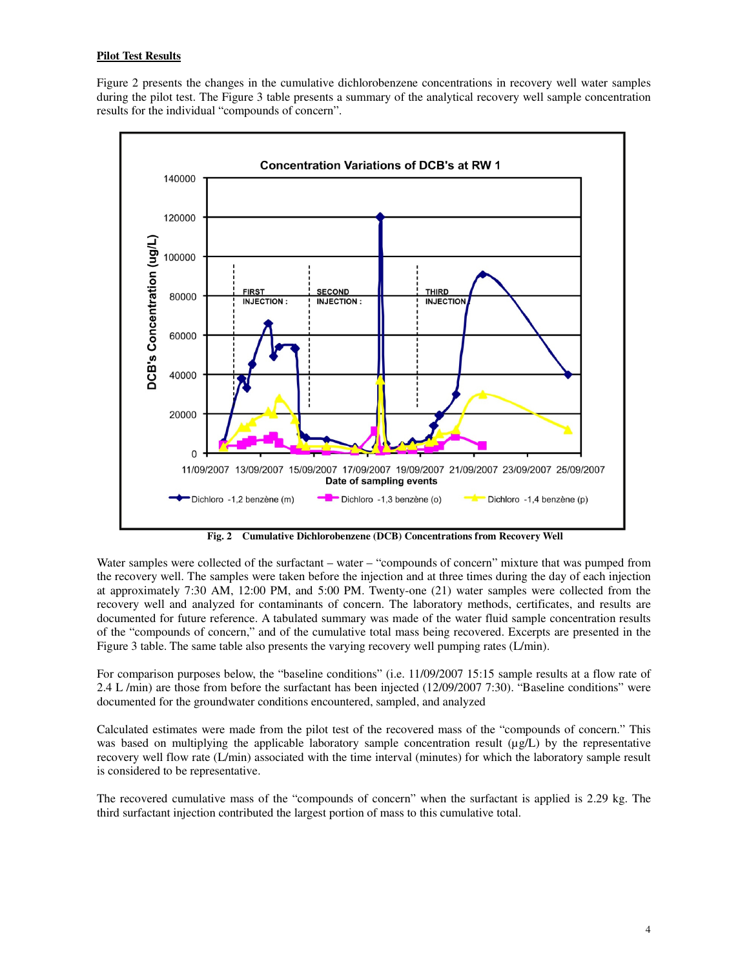#### **Pilot Test Results**

Figure 2 presents the changes in the cumulative dichlorobenzene concentrations in recovery well water samples during the pilot test. The Figure 3 table presents a summary of the analytical recovery well sample concentration results for the individual "compounds of concern".



**Fig. 2 Cumulative Dichlorobenzene (DCB) Concentrations from Recovery Well**

Water samples were collected of the surfactant – water – "compounds of concern" mixture that was pumped from the recovery well. The samples were taken before the injection and at three times during the day of each injection at approximately 7:30 AM, 12:00 PM, and 5:00 PM. Twenty-one (21) water samples were collected from the recovery well and analyzed for contaminants of concern. The laboratory methods, certificates, and results are documented for future reference. A tabulated summary was made of the water fluid sample concentration results of the "compounds of concern," and of the cumulative total mass being recovered. Excerpts are presented in the Figure 3 table. The same table also presents the varying recovery well pumping rates (L/min).

For comparison purposes below, the "baseline conditions" (i.e. 11/09/2007 15:15 sample results at a flow rate of 2.4 L /min) are those from before the surfactant has been injected (12/09/2007 7:30). "Baseline conditions" were documented for the groundwater conditions encountered, sampled, and analyzed

Calculated estimates were made from the pilot test of the recovered mass of the "compounds of concern." This was based on multiplying the applicable laboratory sample concentration result ( $\mu$ g/L) by the representative recovery well flow rate (L/min) associated with the time interval (minutes) for which the laboratory sample result is considered to be representative.

The recovered cumulative mass of the "compounds of concern" when the surfactant is applied is 2.29 kg. The third surfactant injection contributed the largest portion of mass to this cumulative total.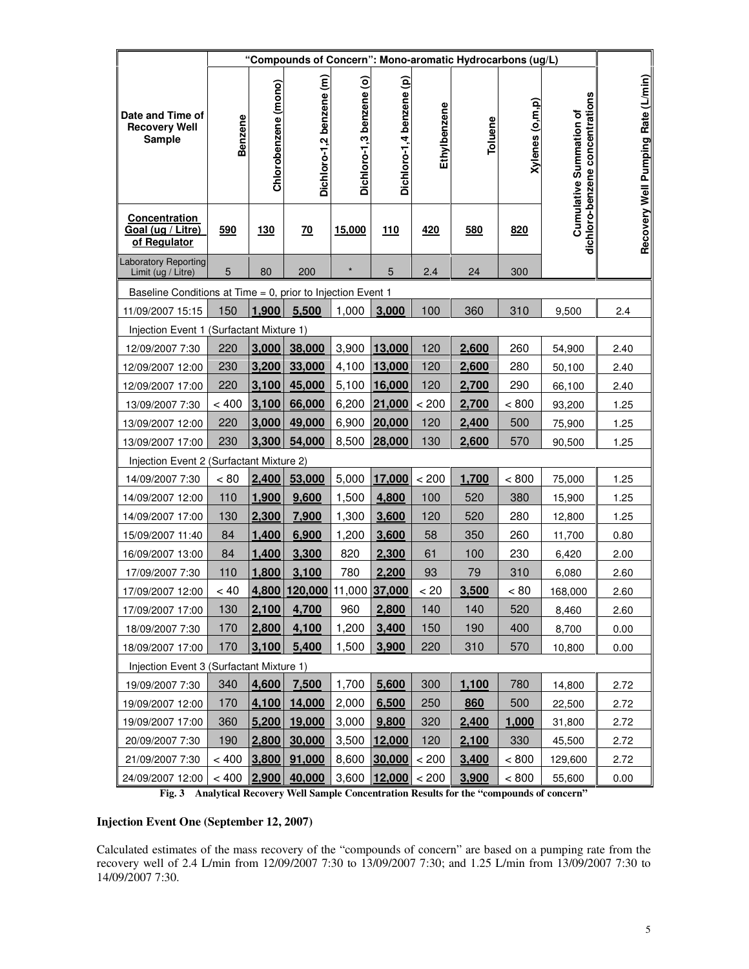|                                                             | "Compounds of Concern": Mono-aromatic Hydrocarbons (ug/L) |                      |                          |                          |                          |              |         |                 |                                                                   |                                    |
|-------------------------------------------------------------|-----------------------------------------------------------|----------------------|--------------------------|--------------------------|--------------------------|--------------|---------|-----------------|-------------------------------------------------------------------|------------------------------------|
| Date and Time of<br><b>Recovery Well</b><br><b>Sample</b>   | <b>Benzene</b>                                            | Chlorobenzene (mono) | Dichloro-1,2 benzene (m) | Dichloro-1,3 benzene (o) | Dichloro-1,4 benzene (p) | Ethylbenzene | Toluene | Xylenes (o,m,p) | dichloro-benzene concentrations<br><b>Cumulative Summation of</b> | Recovery Well Pumping Rate (L/min) |
| Concentration<br>Goal (ug / Litre)<br>of Regulator          | 590                                                       | <u>130</u>           | 70                       | 15,000                   | <u>110</u>               | 420          | 580     | 820             |                                                                   |                                    |
| Laboratory Reporting<br>Limit (ug / Litre)                  | 5                                                         | 80                   | 200                      |                          | 5                        | 2.4          | 24      | 300             |                                                                   |                                    |
| Baseline Conditions at Time = 0, prior to Injection Event 1 |                                                           |                      |                          |                          |                          |              |         |                 |                                                                   |                                    |
| 11/09/2007 15:15                                            | 150                                                       | 1,900                | 5,500                    | 1,000                    | 3,000                    | 100          | 360     | 310             | 9,500                                                             | 2.4                                |
| Injection Event 1 (Surfactant Mixture 1)                    |                                                           |                      |                          |                          |                          |              |         |                 |                                                                   |                                    |
| 12/09/2007 7:30                                             | 220                                                       | 3,000                | 38,000                   | 3,900                    | 13,000                   | 120          | 2,600   | 260             | 54,900                                                            | 2.40                               |
| 12/09/2007 12:00                                            | 230                                                       | 3,200                | 33,000                   | 4,100                    | 13,000                   | 120          | 2,600   | 280             | 50,100                                                            | 2.40                               |
| 12/09/2007 17:00                                            | 220                                                       | 3,100                | 45,000                   | 5,100                    | 16,000                   | 120          | 2,700   | 290             | 66,100                                                            | 2.40                               |
| 13/09/2007 7:30                                             | < 400                                                     | 3,100                | 66,000                   | 6,200                    | 21,000                   | < 200        | 2,700   | < 800           | 93,200                                                            | 1.25                               |
| 13/09/2007 12:00                                            | 220                                                       | 3,000                | 49,000                   | 6,900                    | 20,000                   | 120          | 2,400   | 500             | 75,900                                                            | 1.25                               |
| 13/09/2007 17:00                                            | 230                                                       | 3,300                | 54,000                   | 8,500                    | 28,000                   | 130          | 2,600   | 570             | 90,500                                                            | 1.25                               |
| Injection Event 2 (Surfactant Mixture 2)                    |                                                           |                      |                          |                          |                          |              |         |                 |                                                                   |                                    |
| 14/09/2007 7:30                                             | < 80                                                      | 2,400                | 53,000                   | 5,000                    | 17,000                   | < 200        | 1,700   | < 800           | 75,000                                                            | 1.25                               |
| 14/09/2007 12:00                                            | 110                                                       | 1,900                | 9,600                    | 1,500                    | 4,800                    | 100          | 520     | 380             | 15,900                                                            | 1.25                               |
| 14/09/2007 17:00                                            | 130                                                       | 2,300                | 7,900                    | 1,300                    | 3,600                    | 120          | 520     | 280             | 12,800                                                            | 1.25                               |
| 15/09/2007 11:40                                            | 84                                                        | 1,400                | 6,900                    | 1,200                    | 3,600                    | 58           | 350     | 260             | 11,700                                                            | 0.80                               |
| 16/09/2007 13:00                                            | 84                                                        | 1,400                | 3,300                    | 820                      | 2,300                    | 61           | 100     | 230             | 6,420                                                             | 2.00                               |
| 17/09/2007 7:30                                             | 110                                                       | 1,800                | 3,100                    | 780                      | 2,200                    | 93           | 79      | 310             | 6,080                                                             | 2.60                               |
| 17/09/2007 12:00                                            | < 40                                                      |                      | 4,800 120,000            |                          | 11,000 37,000            | < 20         | 3,500   | < 80            | 168,000                                                           | 2.60                               |
| 17/09/2007 17:00                                            | 130                                                       | 2,100                | 4,700                    | 960                      | 2,800                    | 140          | 140     | 520             | 8,460                                                             | 2.60                               |
| 18/09/2007 7:30                                             | 170                                                       | 2,800                | 4,100                    | 1,200                    | 3,400                    | 150          | 190     | 400             | 8,700                                                             | 0.00                               |
| 18/09/2007 17:00                                            | 170                                                       | 3,100                | 5,400                    | 1,500                    | 3,900                    | 220          | 310     | 570             | 10,800                                                            | 0.00                               |
| Injection Event 3 (Surfactant Mixture 1)                    |                                                           |                      |                          |                          |                          |              |         |                 |                                                                   |                                    |
| 19/09/2007 7:30                                             | 340                                                       | 4,600                | 7,500                    | 1,700                    | 5,600                    | 300          | 1,100   | 780             | 14,800                                                            | 2.72                               |
| 19/09/2007 12:00                                            | 170                                                       | 4,100                | 14,000                   | 2,000                    | 6,500                    | 250          | 860     | 500             | 22,500                                                            | 2.72                               |
| 19/09/2007 17:00                                            | 360                                                       | 5,200                | 19,000                   | 3,000                    | 9,800                    | 320          | 2,400   | 1,000           | 31,800                                                            | 2.72                               |
| 20/09/2007 7:30                                             | 190                                                       | 2,800                | 30,000                   | 3,500                    | 12,000                   | 120          | 2,100   | 330             | 45,500                                                            | 2.72                               |
| 21/09/2007 7:30                                             | < 400                                                     | 3,800                | 91,000                   | 8,600                    | 30,000                   | < 200        | 3,400   | < 800           | 129,600                                                           | 2.72                               |
| 24/09/2007 12:00                                            | < 400                                                     | 2,900                | 40,000                   | 3,600                    | 12,000                   | < 200        | 3,900   | < 800           | 55,600                                                            | 0.00                               |

**Fig. 3 Analytical Recovery Well Sample Concentration Results for the "compounds of concern"** 

## **Injection Event One (September 12, 2007)**

Calculated estimates of the mass recovery of the "compounds of concern" are based on a pumping rate from the recovery well of 2.4 L/min from 12/09/2007 7:30 to 13/09/2007 7:30; and 1.25 L/min from 13/09/2007 7:30 to 14/09/2007 7:30.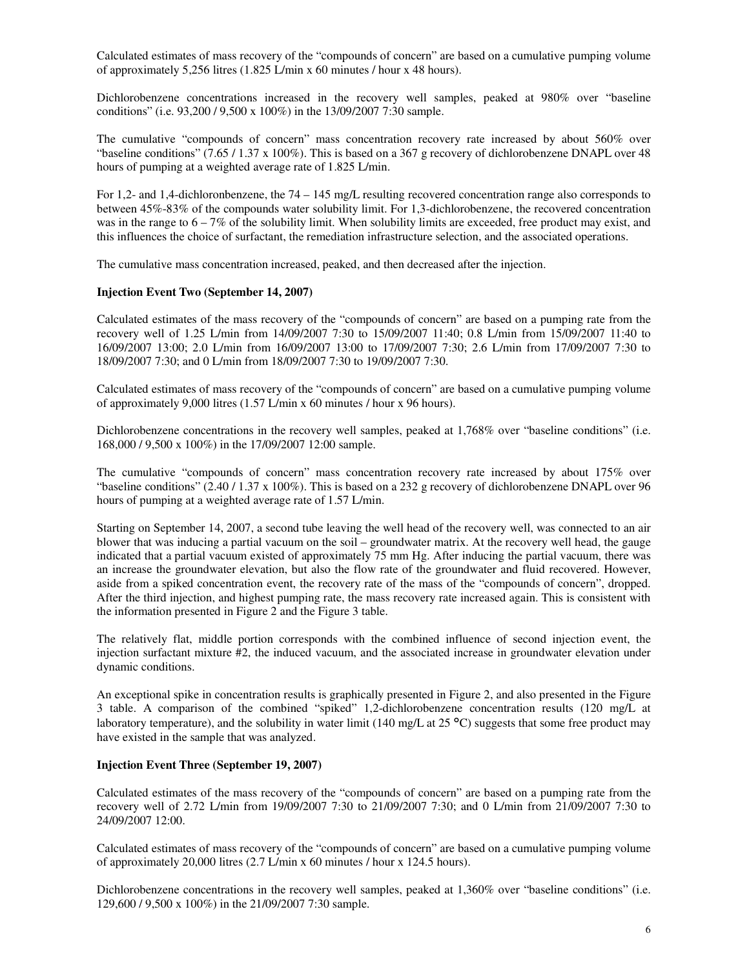Calculated estimates of mass recovery of the "compounds of concern" are based on a cumulative pumping volume of approximately 5,256 litres (1.825 L/min x 60 minutes / hour x 48 hours).

Dichlorobenzene concentrations increased in the recovery well samples, peaked at 980% over "baseline conditions" (i.e. 93,200 / 9,500 x 100%) in the 13/09/2007 7:30 sample.

The cumulative "compounds of concern" mass concentration recovery rate increased by about 560% over "baseline conditions" (7.65 / 1.37 x 100%). This is based on a 367 g recovery of dichlorobenzene DNAPL over 48 hours of pumping at a weighted average rate of 1.825 L/min.

For 1,2- and 1,4-dichloronbenzene, the 74 – 145 mg/L resulting recovered concentration range also corresponds to between 45%-83% of the compounds water solubility limit. For 1,3-dichlorobenzene, the recovered concentration was in the range to  $6 - 7\%$  of the solubility limit. When solubility limits are exceeded, free product may exist, and this influences the choice of surfactant, the remediation infrastructure selection, and the associated operations.

The cumulative mass concentration increased, peaked, and then decreased after the injection.

#### **Injection Event Two (September 14, 2007)**

Calculated estimates of the mass recovery of the "compounds of concern" are based on a pumping rate from the recovery well of 1.25 L/min from 14/09/2007 7:30 to 15/09/2007 11:40; 0.8 L/min from 15/09/2007 11:40 to 16/09/2007 13:00; 2.0 L/min from 16/09/2007 13:00 to 17/09/2007 7:30; 2.6 L/min from 17/09/2007 7:30 to 18/09/2007 7:30; and 0 L/min from 18/09/2007 7:30 to 19/09/2007 7:30.

Calculated estimates of mass recovery of the "compounds of concern" are based on a cumulative pumping volume of approximately 9,000 litres (1.57 L/min x 60 minutes / hour x 96 hours).

Dichlorobenzene concentrations in the recovery well samples, peaked at 1,768% over "baseline conditions" (i.e. 168,000 / 9,500 x 100%) in the 17/09/2007 12:00 sample.

The cumulative "compounds of concern" mass concentration recovery rate increased by about 175% over "baseline conditions" (2.40 / 1.37 x 100%). This is based on a 232 g recovery of dichlorobenzene DNAPL over 96 hours of pumping at a weighted average rate of 1.57 L/min.

Starting on September 14, 2007, a second tube leaving the well head of the recovery well, was connected to an air blower that was inducing a partial vacuum on the soil – groundwater matrix. At the recovery well head, the gauge indicated that a partial vacuum existed of approximately 75 mm Hg. After inducing the partial vacuum, there was an increase the groundwater elevation, but also the flow rate of the groundwater and fluid recovered. However, aside from a spiked concentration event, the recovery rate of the mass of the "compounds of concern", dropped. After the third injection, and highest pumping rate, the mass recovery rate increased again. This is consistent with the information presented in Figure 2 and the Figure 3 table.

The relatively flat, middle portion corresponds with the combined influence of second injection event, the injection surfactant mixture #2, the induced vacuum, and the associated increase in groundwater elevation under dynamic conditions.

An exceptional spike in concentration results is graphically presented in Figure 2, and also presented in the Figure 3 table. A comparison of the combined "spiked" 1,2-dichlorobenzene concentration results (120 mg/L at laboratory temperature), and the solubility in water limit (140 mg/L at 25  $^{\circ}$ C) suggests that some free product may have existed in the sample that was analyzed.

#### **Injection Event Three (September 19, 2007)**

Calculated estimates of the mass recovery of the "compounds of concern" are based on a pumping rate from the recovery well of 2.72 L/min from 19/09/2007 7:30 to 21/09/2007 7:30; and 0 L/min from 21/09/2007 7:30 to 24/09/2007 12:00.

Calculated estimates of mass recovery of the "compounds of concern" are based on a cumulative pumping volume of approximately 20,000 litres (2.7 L/min x 60 minutes / hour x 124.5 hours).

Dichlorobenzene concentrations in the recovery well samples, peaked at 1,360% over "baseline conditions" (i.e. 129,600 / 9,500 x 100%) in the 21/09/2007 7:30 sample.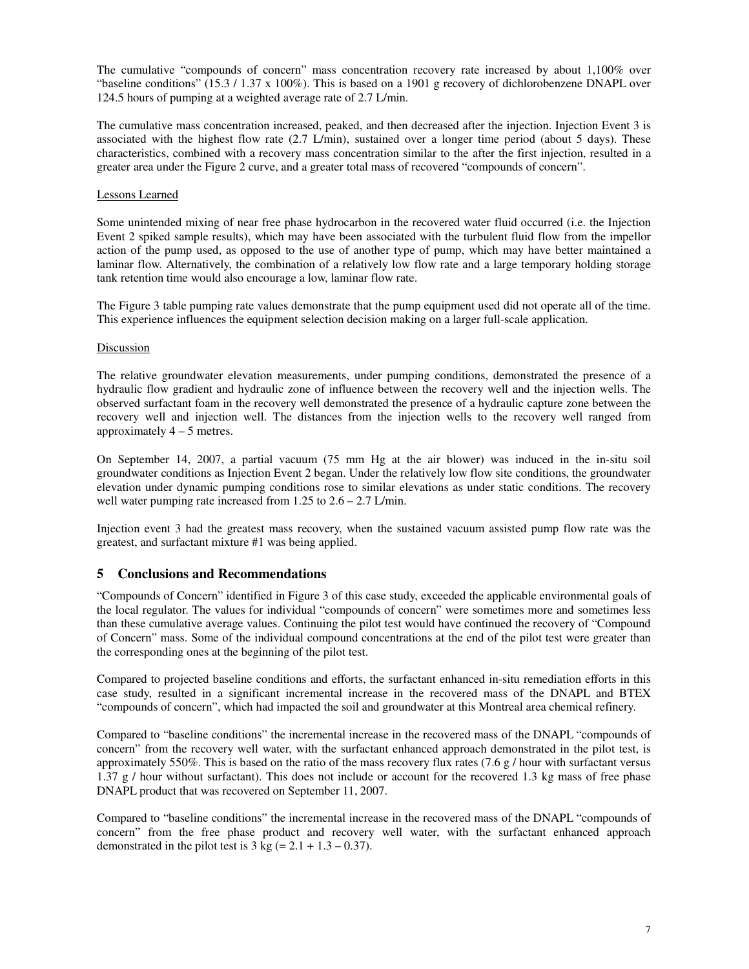The cumulative "compounds of concern" mass concentration recovery rate increased by about 1,100% over "baseline conditions" (15.3 / 1.37 x 100%). This is based on a 1901 g recovery of dichlorobenzene DNAPL over 124.5 hours of pumping at a weighted average rate of 2.7 L/min.

The cumulative mass concentration increased, peaked, and then decreased after the injection. Injection Event 3 is associated with the highest flow rate (2.7 L/min), sustained over a longer time period (about 5 days). These characteristics, combined with a recovery mass concentration similar to the after the first injection, resulted in a greater area under the Figure 2 curve, and a greater total mass of recovered "compounds of concern".

## Lessons Learned

Some unintended mixing of near free phase hydrocarbon in the recovered water fluid occurred (i.e. the Injection Event 2 spiked sample results), which may have been associated with the turbulent fluid flow from the impellor action of the pump used, as opposed to the use of another type of pump, which may have better maintained a laminar flow. Alternatively, the combination of a relatively low flow rate and a large temporary holding storage tank retention time would also encourage a low, laminar flow rate.

The Figure 3 table pumping rate values demonstrate that the pump equipment used did not operate all of the time. This experience influences the equipment selection decision making on a larger full-scale application.

## Discussion

The relative groundwater elevation measurements, under pumping conditions, demonstrated the presence of a hydraulic flow gradient and hydraulic zone of influence between the recovery well and the injection wells. The observed surfactant foam in the recovery well demonstrated the presence of a hydraulic capture zone between the recovery well and injection well. The distances from the injection wells to the recovery well ranged from approximately  $4 - 5$  metres.

On September 14, 2007, a partial vacuum (75 mm Hg at the air blower) was induced in the in-situ soil groundwater conditions as Injection Event 2 began. Under the relatively low flow site conditions, the groundwater elevation under dynamic pumping conditions rose to similar elevations as under static conditions. The recovery well water pumping rate increased from 1.25 to  $2.6 - 2.7$  L/min.

Injection event 3 had the greatest mass recovery, when the sustained vacuum assisted pump flow rate was the greatest, and surfactant mixture #1 was being applied.

## **5 Conclusions and Recommendations**

"Compounds of Concern" identified in Figure 3 of this case study, exceeded the applicable environmental goals of the local regulator. The values for individual "compounds of concern" were sometimes more and sometimes less than these cumulative average values. Continuing the pilot test would have continued the recovery of "Compound of Concern" mass. Some of the individual compound concentrations at the end of the pilot test were greater than the corresponding ones at the beginning of the pilot test.

Compared to projected baseline conditions and efforts, the surfactant enhanced in-situ remediation efforts in this case study, resulted in a significant incremental increase in the recovered mass of the DNAPL and BTEX "compounds of concern", which had impacted the soil and groundwater at this Montreal area chemical refinery.

Compared to "baseline conditions" the incremental increase in the recovered mass of the DNAPL "compounds of concern" from the recovery well water, with the surfactant enhanced approach demonstrated in the pilot test, is approximately 550%. This is based on the ratio of the mass recovery flux rates  $(7.6 \text{ g})$  hour with surfactant versus 1.37 g / hour without surfactant). This does not include or account for the recovered 1.3 kg mass of free phase DNAPL product that was recovered on September 11, 2007.

Compared to "baseline conditions" the incremental increase in the recovered mass of the DNAPL "compounds of concern" from the free phase product and recovery well water, with the surfactant enhanced approach demonstrated in the pilot test is  $3 \text{ kg} (= 2.1 + 1.3 - 0.37)$ .